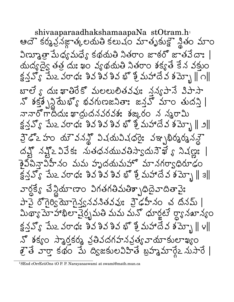shivaaparaadhakshamaapaNa stOtram.h ఆదౌ కర్మవ్రవజ్ఞాత్కలయతి కలుచం మాతృకుక్టౌ న్థితం మాం విణ్యూత్రా మేధ్య మధ్య కథమతి నితరాం జాఠరో జాతవేదాః | యద్యద్యే తత్ర దుః ఖం వ్యథయతి నితరాం శక్యతే కేన వక్తుం బాలే ్ దుః ఖాతిరేకో మలలులితవవుః నవ్యపానే విపాసా నొ శక్త్రపై స్టేట్య భవగుణజనితాః జన్లవొ మాం తుదస్తి | నానారోగాద్దు: ఖాదుదనవరవశ: శఙ,రం న సృరామి హైడోఽహం యౌవనన్లో విషయవిషధరైః వఞ్యర్మర్మనన్లై దక్ష్ నక్ష్ 2 వివేక: నుతధనమువతిస్వాదునౌఖే ్ నిషణ్ణ: | తైవిపిన్నాపిహీనం మమ హృదయమహో మానగర్వాధిరూఢం  $\S 5.5$   $\S 5.25$   $\S 2.50$   $\S 3.50$   $\S 5.50$   $\S 5.50$   $\S 5.50$   $\S 5.50$ వార్దక్యే చేస్థియాణాం విగతగతిమతిశ్చాధిదైవాదితావైః పావై రోగైర్వే యోగైన్నవనిత్వవు: వైడహీనం చ దినమ్ | మిథ్యా మోహాఖిలా వైర్భమతి మమ మనో ధూర్జటే ర్యానఖాన్యం క్షన్హ్య పేుఒ వరాధః శివ శివ శివ భొ శ్రీ మహాదేవ శమ్బో || ౪|| నో శక్యం స్మారకర్మ వతివదగహనవత్యవామాకులాఖ్యం క్రైతే వార్తా కథం మే ద్విజకులవిహితే బ్రహ్మమార్గేఽ నుసారే |

<sup>&</sup>lt;sup>1</sup>SEnd cOrrEctiOns tO P. P. Narayanaswami at swami@math.mun.ca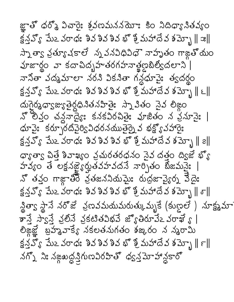జ్ఞాతో ధర్మో ఏచారైః శ్రవణమననయోః కిం నిదిధ్యానితవ్యం  $\mathbb{R}$ వ్వో మేఒ వరాధ: శివ శివ శివ భో శ్రీ మహాదేవ శమ్మో  $\parallel x\parallel$ స్నాత్వా వ్రత్యావకాలే స్నవసిధివిధౌ నాహృతం గాజ్జతోయం హజార్థం వా కదాచిదృహతరగహనాళ్లణౖటిల్వీదలాని | నానితా వద్మమాలా నరని వికనితా గన్దధూవైః త్వదర్థం క్షన్హ్య పేుఒ వరాధః శివ శివ శివ భొ శ్రీ మహాదేవ శమ్భై || ౬|| က်ကြွန်တွေ့ဆေးမြွင်ရာ အသံသားမြေး ဘာ အီဆိုဝ ညီသံ စဲဆိုဝ నో లీవ్లం చన్దనాద్యేః కనకవిరచితైః హజితం న ప్రమానైః | ధూపై: కర్పూరదిపైర్యి సిధరనముతైర్నై వ భక్ష్యో వహారై: క్షన్హ్య పేుఒ వరాధః శివ శివ శివ భొ శ్రీ మహాదేవ శమ్బో || ౭|| ధ్యాత్వా పిత్తే శివాఖ్యం వ్రచురతరధనం నైవ దత్తం ద్విజే భ్యో హవ్యం తే లక్షనజ్హేర్హత్రహవదనే వార్చితం బేజమనై: నొ తవ్తం గాజ్గాతిం వ్రతజననియమైః రుద్రజావ్యైర్న కేదైః క్షన్హ్య పేుఒ వరాధః శివ శివ శివ భొ శ్రీ మహాదే వ శమ్బో || శా|| వ్ధిత్వా స్థానే నరొజే ప్రణవమయమయత్కువ్నుకే (కుణ్ణలే) నూక్ష్మమా కాన్తే స్వాన్తే వ్రలోనే వ్రకటితవిభవే జ్యోతిరూవేఽవరాఖే ్ | లిజ్గజ్ఞో బ్రహ్మవాక్యే నకలతనుగతం శఙురం న న్మరామి క్షన్హ్య పేుఒ వరాధః శివ శివ శివ భో శ్రీ మహాదేవ శమ్బో || ౯|| నగ్నో ని: నఙ్గబద్ధ క్షిగుణవిరహితో ధ్వన్డమోహాన్దకారో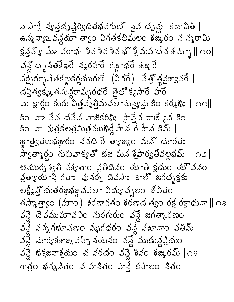వాసాగ్రే న్యన్త్రవృష్టిర్యిదితభవగుణ్యో నైవ దృష్ట్: కదాచిత్ | ఉన్మవ్యాఽ వన్థయా త్వాం విగతకలిమలం శజ్కరం న న్మరామి క్షన్హ్ మేఒ వరాధః శివ శివ శివ భొ శ్రీ మహాదేవ శమ్బో || ౧౦|| చన్ల ద్భాసిత శేఖరే నృరహరే గజ్గాధరే శజ్కరే నర్చైర్బూషితకణ్ఠకర్ణముగలే (వివరే) నేత్రో శ్లవైశ్వానరే | దన్తీత్వక్మ, తనున్ధరామ్భరధరే తైలొక్యసారే హరే  $\Delta$ ాక్టార్థం కురు పిత్తవృత్తిమచలామన్యైన్లు కిం కర్మభి:  $\parallel$  ററ $\parallel$ కిం వాఽ నేన ధనేన వాజికరిథిః ప్రాప్టేన రాజే ్వన కిం కిం వా వుత్రకలత్రమిత్రముభిర్ధే హేన గే హేన కిమ్ | జ్ఞాత్వెతణభజ్ధుల నవది రేత్యాజ్యం మనో దూరత: స్వత్మార్థం గురువాక్యతో భజ మన శ్రీపార్వతివల్లభమ్ | ౧౨|| ఆయుర్నశ్యతి వశ్యతాం వ్రతిదినం యాతి క్షయం యౌవనం క్రతాయాన్ని గతా: పునర్న దివసా: కాలో జగదృక్షక: | లక్ష్మీస్తో యతరఙ్ధభఙచవలా విద్యుచ్చలం జోవితం తస్మాత్తాς౦ (మా౦) శరణాగత౦ శరణద త్వ౦ రక్ష రక్షాధునా ∥ ౧౩∥ వన్డే దేవముమావతిం నురగురుం వన్డే జగత్కారణం  $3\frac{3}{2}$   $3\frac{1}{2}$ గభూ $\frac{1}{2}$ ణం మృగధరం వన్డే వఖానాం వతిమ్ | వన్దే నూర్య శశాజు వహ్ని నదునం వన్డే ముకున్దప్రియం కన్లే భక్తజనాశ్రమం చ వరదం వన్లే శివం శజ్కరమ్ ||౧౪|| గాత్రం భన్మనితం చ హనితం హస్తే కపాలం నితం